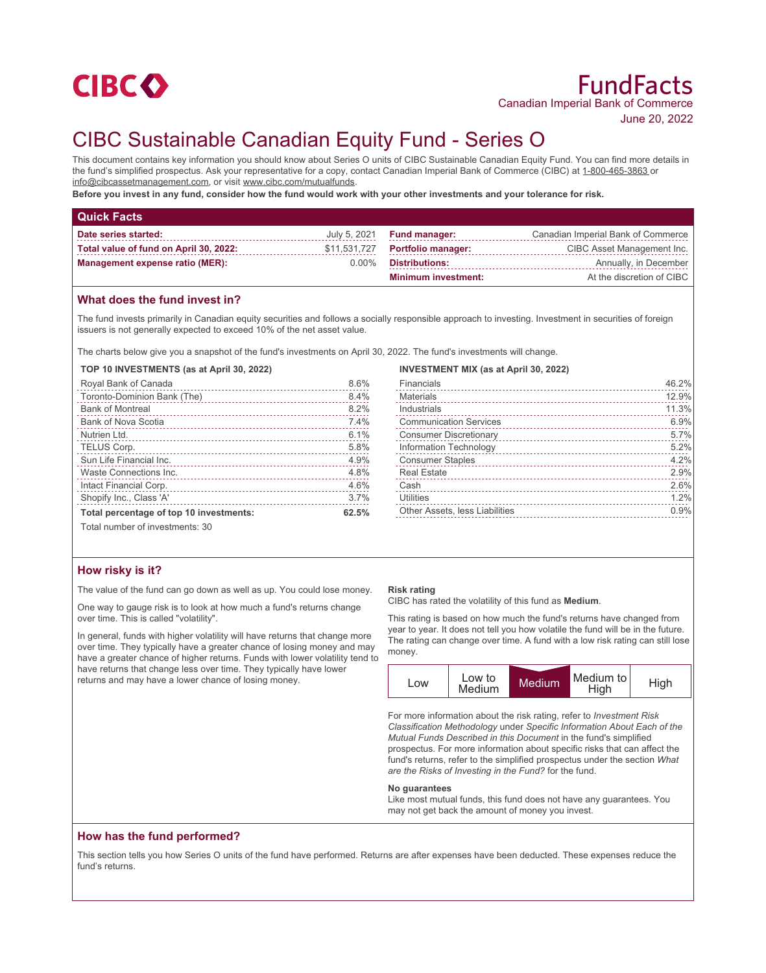

June 20, 2022

# CIBC Sustainable Canadian Equity Fund - Series O

This document contains key information you should know about Series O units of CIBC Sustainable Canadian Equity Fund. You can find more details in the fund's simplified prospectus. Ask your representative for a copy, contact Canadian Imperial Bank of Commerce (CIBC) at 1-800-465-3863 or info@cibcassetmanagement.com, or visit www.cibc.com/mutualfunds.

**Before you invest in any fund, consider how the fund would work with your other investments and your tolerance for risk.**

| <b>Quick Facts</b>                     |          |                                   |                                    |
|----------------------------------------|----------|-----------------------------------|------------------------------------|
| Date series started:                   |          | July 5, 2021 <b>Fund manager:</b> | Canadian Imperial Bank of Commerce |
| Total value of fund on April 30, 2022: |          | \$11,531,727 Portfolio manager:   | CIBC Asset Management Inc.         |
| <b>Management expense ratio (MER):</b> | $0.00\%$ | <b>Distributions:</b>             | Annually, in December              |
|                                        |          | <b>Minimum investment:</b>        | At the discretion of CIBC          |

# **What does the fund invest in?**

The fund invests primarily in Canadian equity securities and follows a socially responsible approach to investing. Investment in securities of foreign issuers is not generally expected to exceed 10% of the net asset value.

The charts below give you a snapshot of the fund's investments on April 30, 2022. The fund's investments will change.

#### **TOP 10 INVESTMENTS (as at April 30, 2022)**

| Royal Bank of Canada                    | 8.6%  |
|-----------------------------------------|-------|
| Toronto-Dominion Bank (The)             | 8.4%  |
| <b>Bank of Montreal</b>                 | 8.2%  |
| Bank of Nova Scotia                     | 7.4%  |
| Nutrien Ltd.                            | 6.1%  |
| TELUS Corp.                             | 5.8%  |
| Sun Life Financial Inc.                 | 4.9%  |
| Waste Connections Inc.                  | 4.8%  |
| Intact Financial Corp.                  | 4.6%  |
| Shopify Inc., Class 'A'                 | 3.7%  |
| Total percentage of top 10 investments: | 62.5% |
|                                         |       |

**INVESTMENT MIX (as at April 30, 2022)**

| Financials<br>and a construction of the construction of the construction of the construction of the construction of the construction of the construction of the construction of the construction of the construction of the construction of | 46.2% |
|---------------------------------------------------------------------------------------------------------------------------------------------------------------------------------------------------------------------------------------------|-------|
| <b>Materials</b>                                                                                                                                                                                                                            | 12.9% |
| Industrials                                                                                                                                                                                                                                 | 11.3% |
| <b>Communication Services</b>                                                                                                                                                                                                               | 6.9%  |
| <b>Consumer Discretionary</b>                                                                                                                                                                                                               | 5.7%  |
| Information Technology                                                                                                                                                                                                                      | 5.2%  |
| <b>Consumer Staples</b>                                                                                                                                                                                                                     | 4.2%  |
| <b>Real Estate</b>                                                                                                                                                                                                                          | 2.9%  |
| Cash                                                                                                                                                                                                                                        | 2.6%  |
| <b>Utilities</b>                                                                                                                                                                                                                            | 1.2%  |
| <b>Other Assets, less Liabilities</b>                                                                                                                                                                                                       | 0.9%  |

Total number of investments: 30

# **How risky is it?**

The value of the fund can go down as well as up. You could lose money.

One way to gauge risk is to look at how much a fund's returns change over time. This is called "volatility".

In general, funds with higher volatility will have returns that change more over time. They typically have a greater chance of losing money and may have a greater chance of higher returns. Funds with lower volatility tend to have returns that change less over time. They typically have lower returns and may have a lower chance of losing money.

### **Risk rating**

CIBC has rated the volatility of this fund as **Medium**.

This rating is based on how much the fund's returns have changed from year to year. It does not tell you how volatile the fund will be in the future. The rating can change over time. A fund with a low risk rating can still lose money.



For more information about the risk rating, refer to *Investment Risk Classification Methodology* under *Specific Information About Each of the Mutual Funds Described in this Document* in the fund's simplified prospectus. For more information about specific risks that can affect the fund's returns, refer to the simplified prospectus under the section *What are the Risks of Investing in the Fund?* for the fund.

#### **No guarantees**

Like most mutual funds, this fund does not have any guarantees. You may not get back the amount of money you invest.

# **How has the fund performed?**

This section tells you how Series O units of the fund have performed. Returns are after expenses have been deducted. These expenses reduce the fund's returns.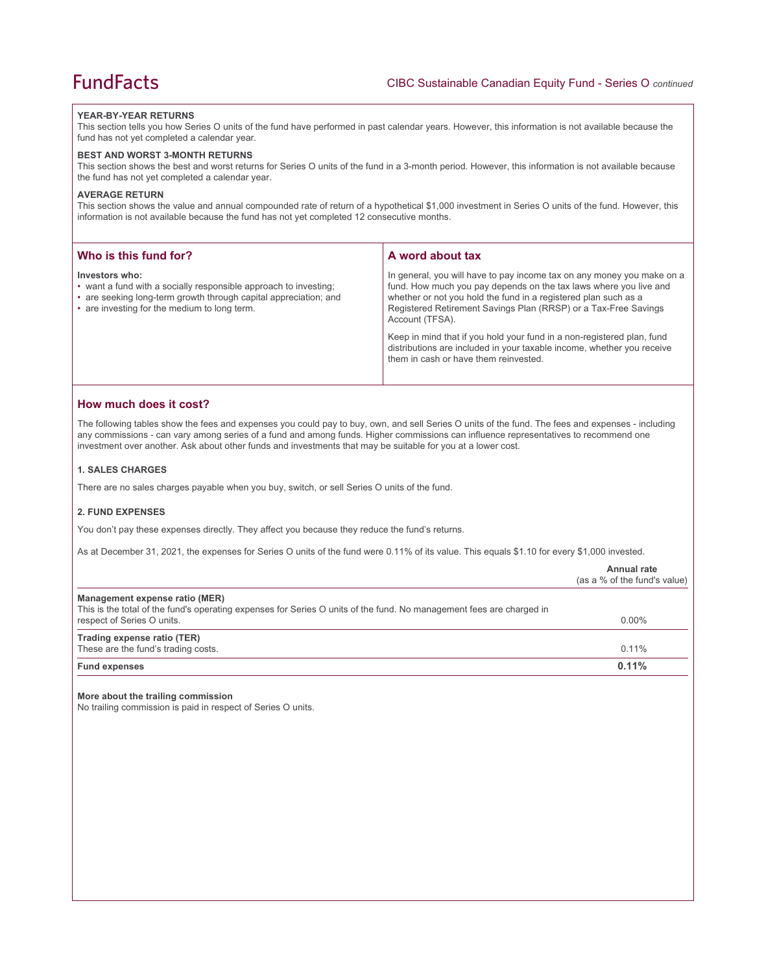#### **YEAR-BY-YEAR RETURNS**

This section tells you how Series O units of the fund have performed in past calendar years. However, this information is not available because the fund has not yet completed a calendar year.

#### **BEST AND WORST 3-MONTH RETURNS**

This section shows the best and worst returns for Series O units of the fund in a 3-month period. However, this information is not available because the fund has not yet completed a calendar year.

### **AVERAGE RETURN**

This section shows the value and annual compounded rate of return of a hypothetical \$1,000 investment in Series O units of the fund. However, this information is not available because the fund has not yet completed 12 consecutive months.

| Who is this fund for?                                                                                                                                                                                  | A word about tax                                                                                                                                                                                                                                                                                     |
|--------------------------------------------------------------------------------------------------------------------------------------------------------------------------------------------------------|------------------------------------------------------------------------------------------------------------------------------------------------------------------------------------------------------------------------------------------------------------------------------------------------------|
| Investors who:<br>• want a fund with a socially responsible approach to investing;<br>• are seeking long-term growth through capital appreciation; and<br>• are investing for the medium to long term. | In general, you will have to pay income tax on any money you make on a<br>fund. How much you pay depends on the tax laws where you live and<br>whether or not you hold the fund in a registered plan such as a<br>Registered Retirement Savings Plan (RRSP) or a Tax-Free Savings<br>Account (TFSA). |
|                                                                                                                                                                                                        | Keep in mind that if you hold your fund in a non-registered plan, fund<br>distributions are included in your taxable income, whether you receive<br>them in cash or have them reinvested.                                                                                                            |

# **How much does it cost?**

The following tables show the fees and expenses you could pay to buy, own, and sell Series O units of the fund. The fees and expenses - including any commissions - can vary among series of a fund and among funds. Higher commissions can influence representatives to recommend one investment over another. Ask about other funds and investments that may be suitable for you at a lower cost.

#### **1. SALES CHARGES**

There are no sales charges payable when you buy, switch, or sell Series O units of the fund.

# **2. FUND EXPENSES**

You don't pay these expenses directly. They affect you because they reduce the fund's returns.

As at December 31, 2021, the expenses for Series O units of the fund were 0.11% of its value. This equals \$1.10 for every \$1,000 invested.

|                                                                                                                                                                                      | Annual rate<br>(as a % of the fund's value) |
|--------------------------------------------------------------------------------------------------------------------------------------------------------------------------------------|---------------------------------------------|
| Management expense ratio (MER)<br>This is the total of the fund's operating expenses for Series O units of the fund. No management fees are charged in<br>respect of Series O units. | $0.00\%$                                    |
| Trading expense ratio (TER)<br>These are the fund's trading costs.                                                                                                                   | $0.11\%$                                    |
| <b>Fund expenses</b>                                                                                                                                                                 | 0.11%                                       |

#### **More about the trailing commission**

No trailing commission is paid in respect of Series O units.